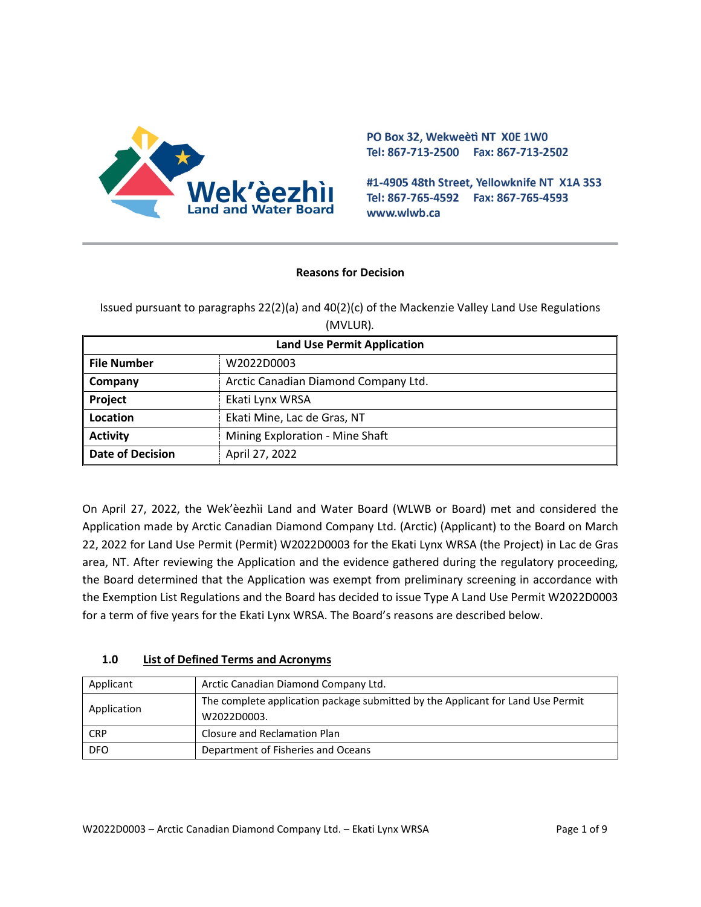

PO Box 32, Wekweeti NT X0E 1W0 Tel: 867-713-2500 Fax: 867-713-2502

#1-4905 48th Street, Yellowknife NT X1A 3S3 Tel: 867-765-4592 Fax: 867-765-4593 www.wlwb.ca

#### **Reasons for Decision**

Issued pursuant to paragraphs 22(2)(a) and 40(2)(c) of the Mackenzie Valley Land Use Regulations (MVLUR)*.*

| <b>Land Use Permit Application</b> |                                      |
|------------------------------------|--------------------------------------|
| <b>File Number</b>                 | W2022D0003                           |
| Company                            | Arctic Canadian Diamond Company Ltd. |
| Project                            | Ekati Lynx WRSA                      |
| Location                           | Ekati Mine, Lac de Gras, NT          |
| <b>Activity</b>                    | Mining Exploration - Mine Shaft      |
| <b>Date of Decision</b>            | April 27, 2022                       |

On April 27, 2022, the Wek'èezhìi Land and Water Board (WLWB or Board) met and considered the Application made by Arctic Canadian Diamond Company Ltd. (Arctic) (Applicant) to the Board on March 22, 2022 for Land Use Permit (Permit) W2022D0003 for the Ekati Lynx WRSA (the Project) in Lac de Gras area, NT. After reviewing the Application and the evidence gathered during the regulatory proceeding, the Board determined that the Application was exempt from preliminary screening in accordance with the Exemption List Regulations and the Board has decided to issue Type A Land Use Permit W2022D0003 for a term of five years for the Ekati Lynx WRSA. The Board's reasons are described below.

## **1.0 List of Defined Terms and Acronyms**

| Applicant   | Arctic Canadian Diamond Company Ltd.                                                           |
|-------------|------------------------------------------------------------------------------------------------|
| Application | The complete application package submitted by the Applicant for Land Use Permit<br>W2022D0003. |
| <b>CRP</b>  | Closure and Reclamation Plan                                                                   |
| <b>DFO</b>  | Department of Fisheries and Oceans                                                             |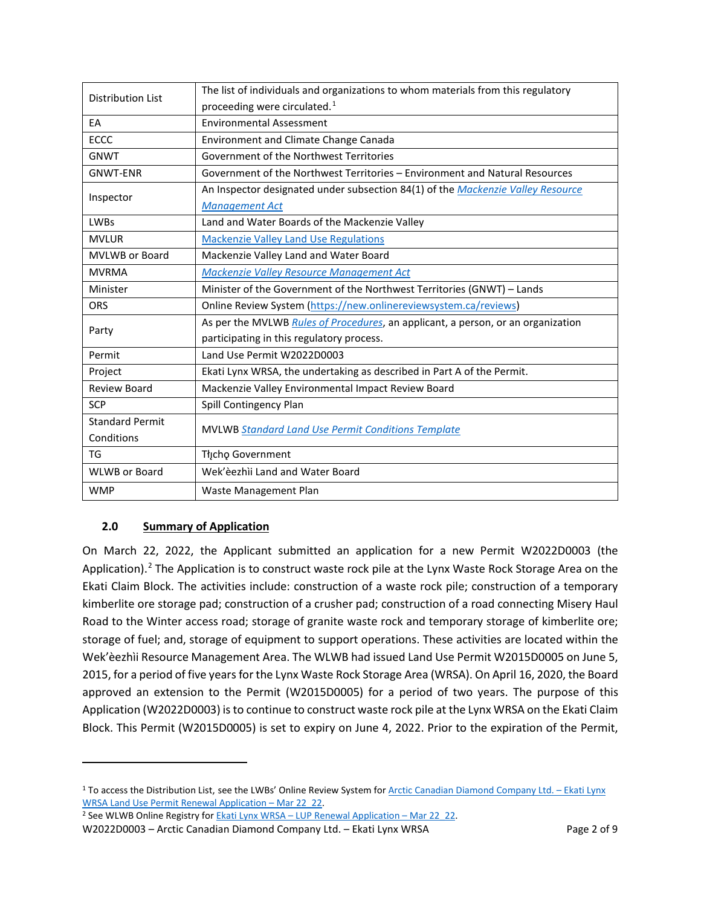| <b>Distribution List</b> | The list of individuals and organizations to whom materials from this regulatory |
|--------------------------|----------------------------------------------------------------------------------|
|                          | proceeding were circulated. <sup>1</sup>                                         |
| EA                       | <b>Environmental Assessment</b>                                                  |
| <b>ECCC</b>              | Environment and Climate Change Canada                                            |
| <b>GNWT</b>              | Government of the Northwest Territories                                          |
| <b>GNWT-ENR</b>          | Government of the Northwest Territories – Environment and Natural Resources      |
| Inspector                | An Inspector designated under subsection 84(1) of the Mackenzie Valley Resource  |
|                          | <b>Management Act</b>                                                            |
| <b>LWBs</b>              | Land and Water Boards of the Mackenzie Valley                                    |
| <b>MVLUR</b>             | <b>Mackenzie Valley Land Use Regulations</b>                                     |
| <b>MVLWB or Board</b>    | Mackenzie Valley Land and Water Board                                            |
| <b>MVRMA</b>             | Mackenzie Valley Resource Management Act                                         |
| Minister                 | Minister of the Government of the Northwest Territories (GNWT) - Lands           |
| <b>ORS</b>               | Online Review System (https://new.onlinereviewsystem.ca/reviews)                 |
| Party                    | As per the MVLWB Rules of Procedures, an applicant, a person, or an organization |
|                          | participating in this regulatory process.                                        |
| Permit                   | Land Use Permit W2022D0003                                                       |
| Project                  | Ekati Lynx WRSA, the undertaking as described in Part A of the Permit.           |
| <b>Review Board</b>      | Mackenzie Valley Environmental Impact Review Board                               |
| <b>SCP</b>               | Spill Contingency Plan                                                           |
| <b>Standard Permit</b>   | <b>MVLWB Standard Land Use Permit Conditions Template</b>                        |
| Conditions               |                                                                                  |
| TG                       | Tłįcho Government                                                                |
| <b>WLWB or Board</b>     | Wek'èezhìi Land and Water Board                                                  |
| <b>WMP</b>               | Waste Management Plan                                                            |

# **2.0 Summary of Application**

On March 22, 2022, the Applicant submitted an application for a new Permit W2022D0003 (the Application).<sup>[2](#page-1-1)</sup> The Application is to construct waste rock pile at the Lynx Waste Rock Storage Area on the Ekati Claim Block. The activities include: construction of a waste rock pile; construction of a temporary kimberlite ore storage pad; construction of a crusher pad; construction of a road connecting Misery Haul Road to the Winter access road; storage of granite waste rock and temporary storage of kimberlite ore; storage of fuel; and, storage of equipment to support operations. These activities are located within the Wek'èezhìi Resource Management Area. The WLWB had issued Land Use Permit W2015D0005 on June 5, 2015, for a period of five years for the Lynx Waste Rock Storage Area (WRSA). On April 16, 2020, the Board approved an extension to the Permit (W2015D0005) for a period of two years. The purpose of this Application (W2022D0003) is to continue to construct waste rock pile at the Lynx WRSA on the Ekati Claim Block. This Permit (W2015D0005) is set to expiry on June 4, 2022. Prior to the expiration of the Permit,

<span id="page-1-0"></span><sup>&</sup>lt;sup>1</sup> To access the Distribution List, see the LWBs' Online Review System fo[r Arctic Canadian Diamond Company Ltd.](https://new.onlinereviewsystem.ca/review/2DAF9AB0-05AA-EC11-997E-CC60C843C6BF) - Ekati Lynx [WRSA Land Use Permit Renewal Application](https://new.onlinereviewsystem.ca/review/2DAF9AB0-05AA-EC11-997E-CC60C843C6BF) – Mar 22\_22.

<span id="page-1-1"></span><sup>&</sup>lt;sup>2</sup> See WLWB Online Registry for Ekati Lynx WRSA – [LUP Renewal Application –](http://registry.mvlwb.ca/Documents/W2022D0003/Ekati%20Lynx%20WRSA%20-%20LUP%20Renewal%20Application%20-%20Mar%2022_22.pdf) Mar 22\_22.

W2022D0003 – Arctic Canadian Diamond Company Ltd. – Ekati Lynx WRSA Page 2 of 9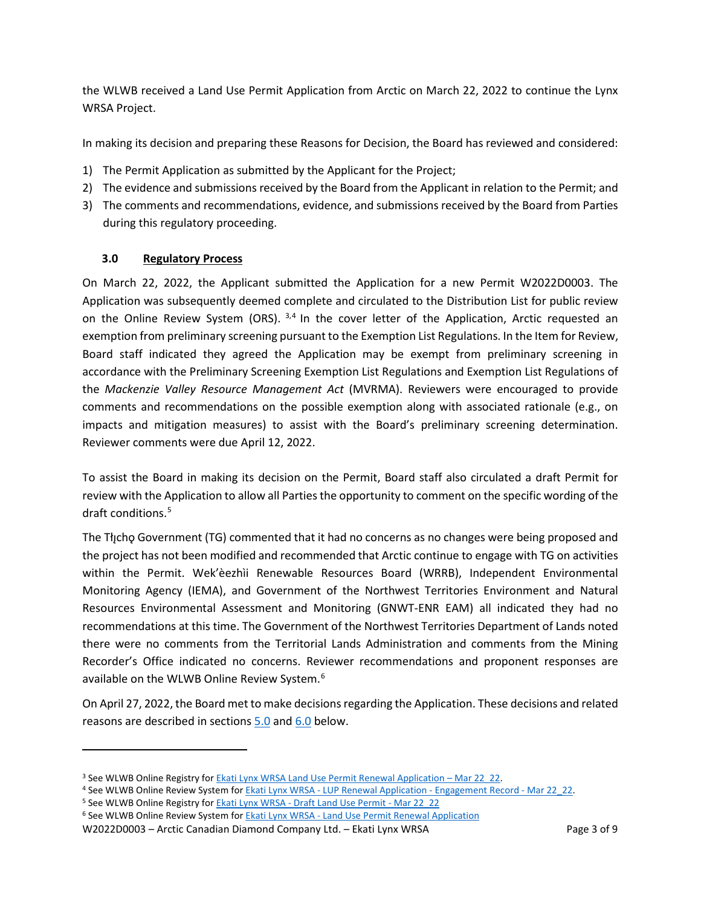the WLWB received a Land Use Permit Application from Arctic on March 22, 2022 to continue the Lynx WRSA Project.

In making its decision and preparing these Reasons for Decision, the Board has reviewed and considered:

- 1) The Permit Application as submitted by the Applicant for the Project;
- 2) The evidence and submissions received by the Board from the Applicant in relation to the Permit; and
- 3) The comments and recommendations, evidence, and submissions received by the Board from Parties during this regulatory proceeding.

#### <span id="page-2-4"></span>**3.0 Regulatory Process**

On March 22, 2022, the Applicant submitted the Application for a new Permit W2022D0003. The Application was subsequently deemed complete and circulated to the Distribution List for public review on the Online Review System (ORS).  $3,4$  $3,4$  In the cover letter of the Application, Arctic requested an exemption from preliminary screening pursuant to the Exemption List Regulations. In the Item for Review, Board staff indicated they agreed the Application may be exempt from preliminary screening in accordance with the Preliminary Screening Exemption List Regulations and Exemption List Regulations of the *Mackenzie Valley Resource Management Act* (MVRMA). Reviewers were encouraged to provide comments and recommendations on the possible exemption along with associated rationale (e.g., on impacts and mitigation measures) to assist with the Board's preliminary screening determination. Reviewer comments were due April 12, 2022.

To assist the Board in making its decision on the Permit, Board staff also circulated a draft Permit for review with the Application to allow all Parties the opportunity to comment on the specific wording of the draft conditions. [5](#page-2-2)

The The The Government (TG) commented that it had no concerns as no changes were being proposed and the project has not been modified and recommended that Arctic continue to engage with TG on activities within the Permit. Wek'èezhìi Renewable Resources Board (WRRB), Independent Environmental Monitoring Agency (IEMA), and Government of the Northwest Territories Environment and Natural Resources Environmental Assessment and Monitoring (GNWT-ENR EAM) all indicated they had no recommendations at this time. The Government of the Northwest Territories Department of Lands noted there were no comments from the Territorial Lands Administration and comments from the Mining Recorder's Office indicated no concerns. Reviewer recommendations and proponent responses are available on the WLWB Online Review System.[6](#page-2-3)

On April 27, 2022, the Board met to make decisions regarding the Application. These decisions and related reasons are described in sections  $5.0$  and  $6.0$  below.

<span id="page-2-0"></span><sup>&</sup>lt;sup>3</sup> See WLWB Online Registry for **Ekati Lynx WRSA Land Use Permit Renewal Application – Mar 22 22.** 

<span id="page-2-1"></span><sup>4</sup> See WLWB Online Review System for Ekati Lynx WRSA - [LUP Renewal Application -](http://registry.mvlwb.ca/Documents/W2022D0003/Ekati%20Lynx%20WRSA%20-%20LUP%20Renewal%20Application%20-%20Engagement%20Record%20-%20Mar%2022_22.pdf) Engagement Record - Mar 22\_22.

<span id="page-2-2"></span><sup>&</sup>lt;sup>5</sup> See WLWB Online Registry for **Ekati Lynx WRSA - [Draft Land Use Permit -](http://registry.mvlwb.ca/Documents/W2022D0003/Ekati%20Lynx%20WRSA%20-%20Draft%20Land%20Use%20Permit%20-%20Mar%2022_22.pdf) Mar 22** 22

<span id="page-2-3"></span><sup>6</sup> See WLWB Online Review System for Ekati Lynx WRSA - [Land Use Permit Renewal Application](https://new.onlinereviewsystem.ca/review/2DAF9AB0-05AA-EC11-997E-CC60C843C6BF)

W2022D0003 – Arctic Canadian Diamond Company Ltd. – Ekati Lynx WRSA Page 3 of 9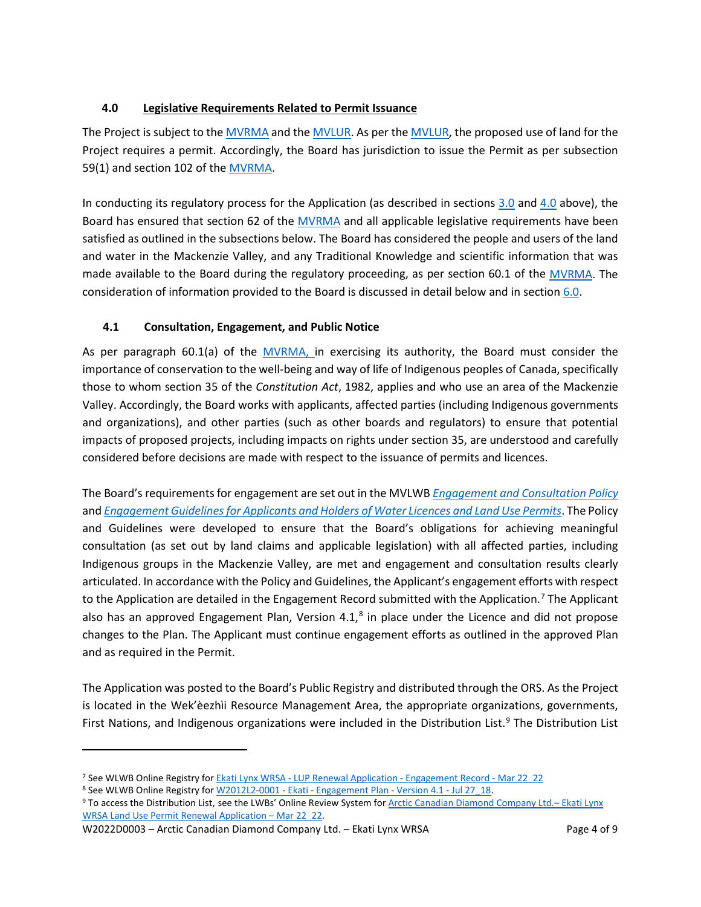## <span id="page-3-0"></span>**4.0 Legislative Requirements Related to Permit Issuance**

The Project is subject to the [MVRMA](http://laws-lois.justice.gc.ca/PDF/M-0.2.pdf) and th[e MVLUR.](http://laws-lois.justice.gc.ca/PDF/SOR-98-429.pdf) As per the [MVLUR,](http://laws-lois.justice.gc.ca/PDF/SOR-98-429.pdf) the proposed use of land for the Project requires a permit. Accordingly, the Board has jurisdiction to issue the Permit as per subsection 59(1) and section 102 of the [MVRMA.](http://laws-lois.justice.gc.ca/PDF/M-0.2.pdf)

In conducting its regulatory process for the Application (as described in sections [3.0](#page-2-4) and [4.0](#page-3-0) above), the Board has ensured that section 62 of the [MVRMA](http://laws-lois.justice.gc.ca/PDF/M-0.2.pdf) and all applicable legislative requirements have been satisfied as outlined in the subsections below. The Board has considered the people and users of the land and water in the Mackenzie Valley, and any Traditional Knowledge and scientific information that was made available to the Board during the regulatory proceeding, as per section 60.1 of the [MVRMA.](http://laws-lois.justice.gc.ca/PDF/M-0.2.pdf) The consideration of information provided to the Board is discussed in detail below and in section 6.0.

## **4.1 Consultation, Engagement, and Public Notice**

As per paragraph 60.1(a) of the [MVRMA,](http://laws-lois.justice.gc.ca/PDF/M-0.2.pdf) in exercising its authority, the Board must consider the importance of conservation to the well-being and way of life of Indigenous peoples of Canada, specifically those to whom section 35 of the *Constitution Act*, 1982, applies and who use an area of the Mackenzie Valley. Accordingly, the Board works with applicants, affected parties (including Indigenous governments and organizations), and other parties (such as other boards and regulators) to ensure that potential impacts of proposed projects, including impacts on rights under section 35, are understood and carefully considered before decisions are made with respect to the issuance of permits and licences.

The Board's requirements for engagement are set out in the MVLWB *[Engagement and Consultation Policy](https://mvlwb.com/sites/default/files/mvlwb_engagement_and_consultation_policy_-_nov_25_19.pdf)* and *[Engagement Guidelines for Applicants and Holders of Water Licences and Land Use Permits](https://mvlwb.com/sites/default/files/mvlwb_engagement_guidelines_for_holders_of_lups_and_wls_-_october_2_19.pdf)*. The Policy and Guidelines were developed to ensure that the Board's obligations for achieving meaningful consultation (as set out by land claims and applicable legislation) with all affected parties, including Indigenous groups in the Mackenzie Valley, are met and engagement and consultation results clearly articulated. In accordance with the Policy and Guidelines, the Applicant's engagement efforts with respect to the Application are detailed in the Engagement Record submitted with the Application.<sup>[7](#page-3-1)</sup> The Applicant also has an approved Engagement Plan, Version 4.1,<sup>[8](#page-3-2)</sup> in place under the Licence and did not propose changes to the Plan. The Applicant must continue engagement efforts as outlined in the approved Plan and as required in the Permit.

The Application was posted to the Board's Public Registry and distributed through the ORS. As the Project is located in the Wek'èezhìi Resource Management Area, the appropriate organizations, governments, First Nations, and Indigenous organizations were included in the Distribution List.<sup>[9](#page-3-3)</sup> The Distribution List

<span id="page-3-2"></span>8 See WLWB Online Registry for W2012L2-0001 - Ekati - [Engagement Plan](https://registry.mvlwb.ca/Documents/W2012L2-0001/W2012L2-0001%20-%20Ekati%20-%20Engagement%20Plan%20-%20Version%204.1%20-%20Jul%2027_18.pdf) - Version 4.1 - Jul 27 18.

W2022D0003 – Arctic Canadian Diamond Company Ltd. – Ekati Lynx WRSA Page 4 of 9

<span id="page-3-1"></span><sup>7</sup> See WLWB Online Registry for Ekati Lynx WRSA - [LUP Renewal Application -](http://registry.mvlwb.ca/Documents/W2022D0003/Ekati%20Lynx%20WRSA%20-%20LUP%20Renewal%20Application%20-%20Engagement%20Record%20-%20Mar%2022_22.pdf) Engagement Record - Mar 22\_22

<span id="page-3-3"></span><sup>9</sup> To access the Distribution List, see the LWBs' Online Review System fo[r Arctic Canadian Diamond Company Ltd.–](https://new.onlinereviewsystem.ca/review/2DAF9AB0-05AA-EC11-997E-CC60C843C6BF) Ekati Lynx [WRSA Land Use Permit Renewal Application](https://new.onlinereviewsystem.ca/review/2DAF9AB0-05AA-EC11-997E-CC60C843C6BF) – Mar 22\_22.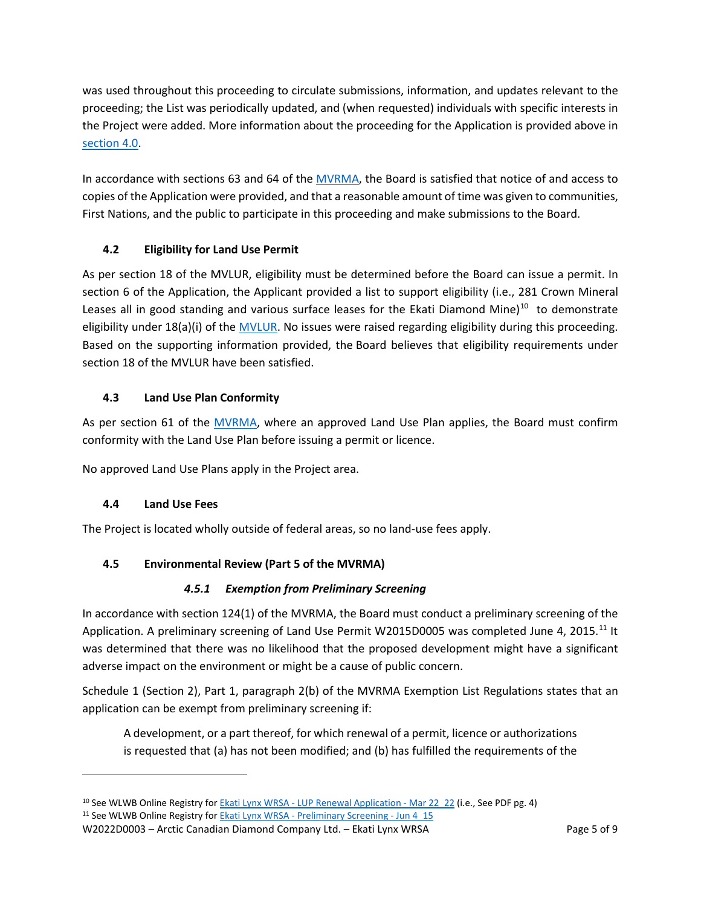was used throughout this proceeding to circulate submissions, information, and updates relevant to the proceeding; the List was periodically updated, and (when requested) individuals with specific interests in the Project were added. More information about the proceeding for the Application is provided above in [section 4.0.](#page-2-4)

In accordance with sections 63 and 64 of the [MVRMA,](http://laws-lois.justice.gc.ca/PDF/M-0.2.pdf) the Board is satisfied that notice of and access to copies of the Application were provided, and that a reasonable amount of time was given to communities, First Nations, and the public to participate in this proceeding and make submissions to the Board.

# **4.2 Eligibility for Land Use Permit**

As per section 18 of the MVLUR, eligibility must be determined before the Board can issue a permit. In section 6 of the Application, the Applicant provided a list to support eligibility (i.e., 281 Crown Mineral Leases all in good standing and various surface leases for the Ekati Diamond Mine) $10$  to demonstrate eligibility under 18(a)(i) of the [MVLUR.](http://laws-lois.justice.gc.ca/PDF/SOR-98-429.pdf) No issues were raised regarding eligibility during this proceeding. Based on the supporting information provided, the Board believes that eligibility requirements under section 18 of the MVLUR have been satisfied.

# **4.3 Land Use Plan Conformity**

As per section 61 of the [MVRMA,](http://laws-lois.justice.gc.ca/PDF/M-0.2.pdf) where an approved Land Use Plan applies, the Board must confirm conformity with the Land Use Plan before issuing a permit or licence.

No approved Land Use Plans apply in the Project area.

# **4.4 Land Use Fees**

The Project is located wholly outside of federal areas, so no land-use fees apply.

# **4.5 Environmental Review (Part 5 of the MVRMA)**

## *4.5.1 Exemption from Preliminary Screening*

In accordance with section 124(1) of the MVRMA, the Board must conduct a preliminary screening of the Application. A preliminary screening of Land Use Permit W2015D0005 was completed June 4, 2015.<sup>[11](#page-4-1)</sup> It was determined that there was no likelihood that the proposed development might have a significant adverse impact on the environment or might be a cause of public concern.

Schedule 1 (Section 2), Part 1, paragraph 2(b) of the MVRMA Exemption List Regulations states that an application can be exempt from preliminary screening if:

A development, or a part thereof, for which renewal of a permit, licence or authorizations is requested that (a) has not been modified; and (b) has fulfilled the requirements of the

W2022D0003 – Arctic Canadian Diamond Company Ltd. – Ekati Lynx WRSA Page 5 of 9

<span id="page-4-1"></span><span id="page-4-0"></span><sup>&</sup>lt;sup>10</sup> See WLWB Online Registry for **Ekati Lynx WRSA - LUP Renewal Application** - Mar 22 22 (i.e., See PDF pg. 4) <sup>11</sup> See WLWB Online Registry for **Ekati Lynx WRSA - [Preliminary Screening -](http://registry.mvlwb.ca/Documents/W2015D0005/Ekati%20Lynx%20WRSA%20-%20Preliminary%20Screening%20-%20Jun%204_15.pdf) Jun 4** 15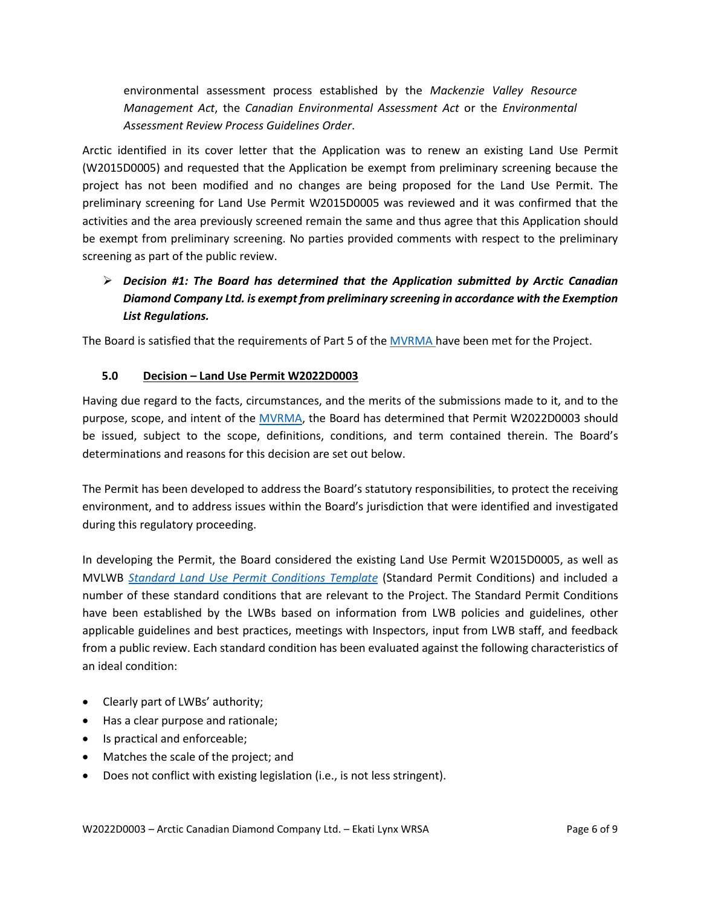environmental assessment process established by the *Mackenzie Valley Resource Management Act*, the *Canadian Environmental Assessment Act* or the *Environmental Assessment Review Process Guidelines Order*.

Arctic identified in its cover letter that the Application was to renew an existing Land Use Permit (W2015D0005) and requested that the Application be exempt from preliminary screening because the project has not been modified and no changes are being proposed for the Land Use Permit. The preliminary screening for Land Use Permit W2015D0005 was reviewed and it was confirmed that the activities and the area previously screened remain the same and thus agree that this Application should be exempt from preliminary screening. No parties provided comments with respect to the preliminary screening as part of the public review.

# *Decision #1: The Board has determined that the Application submitted by Arctic Canadian Diamond Company Ltd. is exempt from preliminary screening in accordance with the Exemption List Regulations.*

The Board is satisfied that the requirements of Part 5 of th[e MVRMA](http://laws-lois.justice.gc.ca/PDF/M-0.2.pdf) have been met for the Project.

### **5.0 Decision – Land Use Permit W2022D0003**

Having due regard to the facts, circumstances, and the merits of the submissions made to it, and to the purpose, scope, and intent of the [MVRMA,](http://laws-lois.justice.gc.ca/PDF/M-0.2.pdf) the Board has determined that Permit W2022D0003 should be issued, subject to the scope, definitions, conditions, and term contained therein. The Board's determinations and reasons for this decision are set out below.

The Permit has been developed to address the Board's statutory responsibilities, to protect the receiving environment, and to address issues within the Board's jurisdiction that were identified and investigated during this regulatory proceeding.

In developing the Permit, the Board considered the existing Land Use Permit W2015D0005, as well as MVLWB *[Standard Land Use Permit Conditions Template](https://mvlwb.com/sites/default/files/standard_land_use_permit_conditions_template_-_public_version_2.3_-_aug_7_20.pdf)* (Standard Permit Conditions) and included a number of these standard conditions that are relevant to the Project. The Standard Permit Conditions have been established by the LWBs based on information from LWB policies and guidelines, other applicable guidelines and best practices, meetings with Inspectors, input from LWB staff, and feedback from a public review. Each standard condition has been evaluated against the following characteristics of an ideal condition:

- Clearly part of LWBs' authority;
- Has a clear purpose and rationale;
- Is practical and enforceable;
- Matches the scale of the project; and
- Does not conflict with existing legislation (i.e., is not less stringent).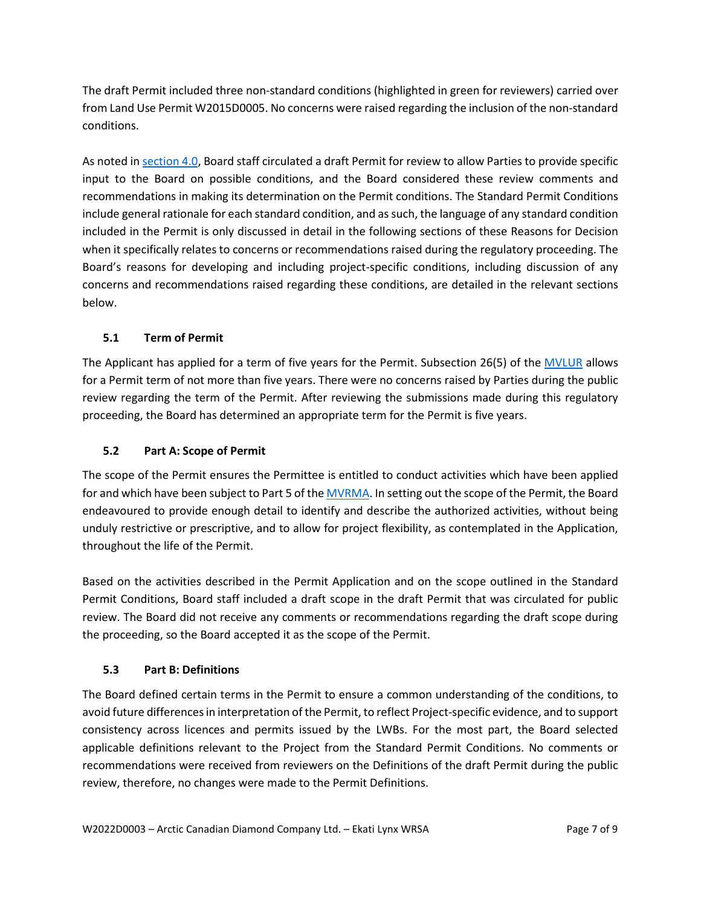The draft Permit included three non-standard conditions (highlighted in green for reviewers) carried over from Land Use Permit W2015D0005. No concerns were raised regarding the inclusion of the non-standard conditions.

As noted i[n section 4.0,](#page-2-4) Board staff circulated a draft Permit for review to allow Parties to provide specific input to the Board on possible conditions, and the Board considered these review comments and recommendations in making its determination on the Permit conditions. The Standard Permit Conditions include general rationale for each standard condition, and as such, the language of any standard condition included in the Permit is only discussed in detail in the following sections of these Reasons for Decision when it specifically relates to concerns or recommendations raised during the regulatory proceeding. The Board's reasons for developing and including project-specific conditions, including discussion of any concerns and recommendations raised regarding these conditions, are detailed in the relevant sections below.

# **5.1 Term of Permit**

The Applicant has applied for a term of five years for the Permit. Subsection 26(5) of the **MVLUR** allows for a Permit term of not more than five years. There were no concerns raised by Parties during the public review regarding the term of the Permit. After reviewing the submissions made during this regulatory proceeding, the Board has determined an appropriate term for the Permit is five years.

## **5.2 Part A: Scope of Permit**

The scope of the Permit ensures the Permittee is entitled to conduct activities which have been applied for and which have been subject to Part 5 of th[e MVRMA.](http://laws-lois.justice.gc.ca/PDF/M-0.2.pdf) In setting out the scope of the Permit, the Board endeavoured to provide enough detail to identify and describe the authorized activities, without being unduly restrictive or prescriptive, and to allow for project flexibility, as contemplated in the Application, throughout the life of the Permit.

Based on the activities described in the Permit Application and on the scope outlined in the Standard Permit Conditions, Board staff included a draft scope in the draft Permit that was circulated for public review. The Board did not receive any comments or recommendations regarding the draft scope during the proceeding, so the Board accepted it as the scope of the Permit.

## **5.3 Part B: Definitions**

The Board defined certain terms in the Permit to ensure a common understanding of the conditions, to avoid future differences in interpretation of the Permit, to reflect Project-specific evidence, and to support consistency across licences and permits issued by the LWBs. For the most part, the Board selected applicable definitions relevant to the Project from the Standard Permit Conditions. No comments or recommendations were received from reviewers on the Definitions of the draft Permit during the public review, therefore, no changes were made to the Permit Definitions.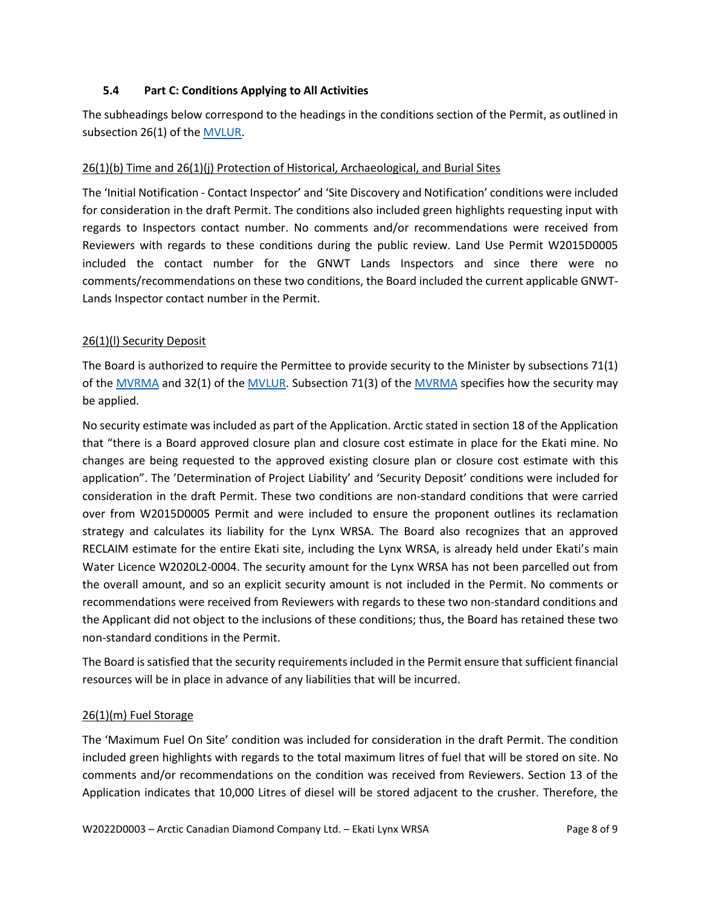#### **5.4 Part C: Conditions Applying to All Activities**

The subheadings below correspond to the headings in the conditions section of the Permit, as outlined in subsection 26(1) of the **MVLUR**.

#### 26(1)(b) Time and 26(1)(j) Protection of Historical, Archaeological, and Burial Sites

The 'Initial Notification - Contact Inspector' and 'Site Discovery and Notification' conditions were included for consideration in the draft Permit. The conditions also included green highlights requesting input with regards to Inspectors contact number. No comments and/or recommendations were received from Reviewers with regards to these conditions during the public review. Land Use Permit W2015D0005 included the contact number for the GNWT Lands Inspectors and since there were no comments/recommendations on these two conditions, the Board included the current applicable GNWT-Lands Inspector contact number in the Permit.

#### 26(1)(l) Security Deposit

The Board is authorized to require the Permittee to provide security to the Minister by subsections 71(1) of the [MVRMA](http://laws-lois.justice.gc.ca/PDF/M-0.2.pdf) and 32(1) of the [MVLUR.](http://laws-lois.justice.gc.ca/PDF/SOR-98-429.pdf) Subsection 71(3) of the MVRMA specifies how the security may be applied.

No security estimate was included as part of the Application. Arctic stated in section 18 of the Application that "there is a Board approved closure plan and closure cost estimate in place for the Ekati mine. No changes are being requested to the approved existing closure plan or closure cost estimate with this application". The 'Determination of Project Liability' and 'Security Deposit' conditions were included for consideration in the draft Permit. These two conditions are non-standard conditions that were carried over from W2015D0005 Permit and were included to ensure the proponent outlines its reclamation strategy and calculates its liability for the Lynx WRSA. The Board also recognizes that an approved RECLAIM estimate for the entire Ekati site, including the Lynx WRSA, is already held under Ekati's main Water Licence W2020L2-0004. The security amount for the Lynx WRSA has not been parcelled out from the overall amount, and so an explicit security amount is not included in the Permit. No comments or recommendations were received from Reviewers with regards to these two non-standard conditions and the Applicant did not object to the inclusions of these conditions; thus, the Board has retained these two non-standard conditions in the Permit.

The Board is satisfied that the security requirements included in the Permit ensure that sufficient financial resources will be in place in advance of any liabilities that will be incurred.

## 26(1)(m) Fuel Storage

The 'Maximum Fuel On Site' condition was included for consideration in the draft Permit. The condition included green highlights with regards to the total maximum litres of fuel that will be stored on site. No comments and/or recommendations on the condition was received from Reviewers. Section 13 of the Application indicates that 10,000 Litres of diesel will be stored adjacent to the crusher. Therefore, the